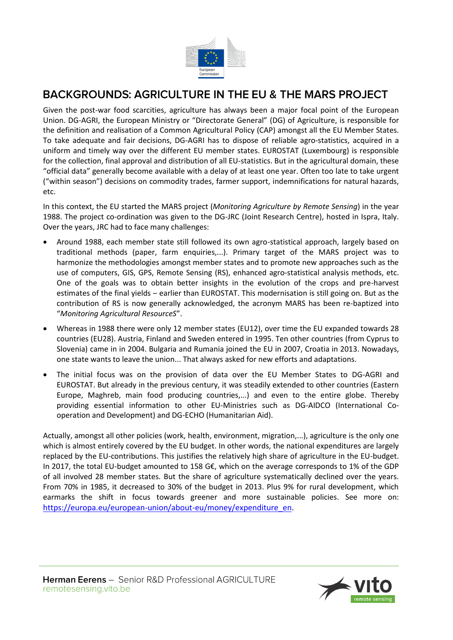

### BACKGROUNDS: AGRICULTURE IN THE EU & THE MARS PROJECT

Given the post-war food scarcities, agriculture has always been a major focal point of the European Union. DG-AGRI, the European Ministry or "Directorate General" (DG) of Agriculture, is responsible for the definition and realisation of a Common Agricultural Policy (CAP) amongst all the EU Member States. To take adequate and fair decisions, DG-AGRI has to dispose of reliable agro-statistics, acquired in a uniform and timely way over the different EU member states. EUROSTAT (Luxembourg) is responsible for the collection, final approval and distribution of all EU-statistics. But in the agricultural domain, these "official data" generally become available with a delay of at least one year. Often too late to take urgent ("within season") decisions on commodity trades, farmer support, indemnifications for natural hazards, etc.

In this context, the EU started the MARS project (*Monitoring Agriculture by Remote Sensing*) in the year 1988. The project co-ordination was given to the DG-JRC (Joint Research Centre), hosted in Ispra, Italy. Over the years, JRC had to face many challenges:

- Around 1988, each member state still followed its own agro-statistical approach, largely based on traditional methods (paper, farm enquiries,...). Primary target of the MARS project was to harmonize the methodologies amongst member states and to promote new approaches such as the use of computers, GIS, GPS, Remote Sensing (RS), enhanced agro-statistical analysis methods, etc. One of the goals was to obtain better insights in the evolution of the crops and pre-harvest estimates of the final yields – earlier than EUROSTAT. This modernisation is still going on. But as the contribution of RS is now generally acknowledged, the acronym MARS has been re-baptized into "*Monitoring Agricultural ResourceS*".
- Whereas in 1988 there were only 12 member states (EU12), over time the EU expanded towards 28 countries (EU28). Austria, Finland and Sweden entered in 1995. Ten other countries (from Cyprus to Slovenia) came in in 2004. Bulgaria and Rumania joined the EU in 2007, Croatia in 2013. Nowadays, one state wants to leave the union... That always asked for new efforts and adaptations.
- The initial focus was on the provision of data over the EU Member States to DG-AGRI and EUROSTAT. But already in the previous century, it was steadily extended to other countries (Eastern Europe, Maghreb, main food producing countries,...) and even to the entire globe. Thereby providing essential information to other EU-Ministries such as DG-AIDCO (International Cooperation and Development) and DG-ECHO (Humanitarian Aid).

Actually, amongst all other policies (work, health, environment, migration,...), agriculture is the only one which is almost entirely covered by the EU budget. In other words, the national expenditures are largely replaced by the EU-contributions. This justifies the relatively high share of agriculture in the EU-budget. In 2017, the total EU-budget amounted to 158 G€, which on the average corresponds to 1% of the GDP of all involved 28 member states. But the share of agriculture systematically declined over the years. From 70% in 1985, it decreased to 30% of the budget in 2013. Plus 9% for rural development, which earmarks the shift in focus towards greener and more sustainable policies. See more on: [https://europa.eu/european-union/about-eu/money/expenditure\\_en.](https://europa.eu/european-union/about-eu/money/expenditure_en)

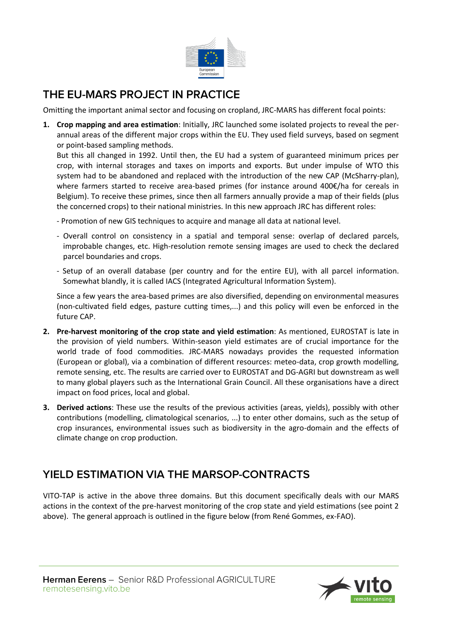

### THE EU-MARS PROJECT IN PRACTICE

Omitting the important animal sector and focusing on cropland, JRC-MARS has different focal points:

**1. Crop mapping and area estimation**: Initially, JRC launched some isolated projects to reveal the perannual areas of the different major crops within the EU. They used field surveys, based on segment or point-based sampling methods.

But this all changed in 1992. Until then, the EU had a system of guaranteed minimum prices per crop, with internal storages and taxes on imports and exports. But under impulse of WTO this system had to be abandoned and replaced with the introduction of the new CAP (McSharry-plan), where farmers started to receive area-based primes (for instance around 400€/ha for cereals in Belgium). To receive these primes, since then all farmers annually provide a map of their fields (plus the concerned crops) to their national ministries. In this new approach JRC has different roles:

- Promotion of new GIS techniques to acquire and manage all data at national level.
- Overall control on consistency in a spatial and temporal sense: overlap of declared parcels, improbable changes, etc. High-resolution remote sensing images are used to check the declared parcel boundaries and crops.
- Setup of an overall database (per country and for the entire EU), with all parcel information. Somewhat blandly, it is called IACS (Integrated Agricultural Information System).

Since a few years the area-based primes are also diversified, depending on environmental measures (non-cultivated field edges, pasture cutting times,...) and this policy will even be enforced in the future CAP.

- **2. Pre-harvest monitoring of the crop state and yield estimation**: As mentioned, EUROSTAT is late in the provision of yield numbers. Within-season yield estimates are of crucial importance for the world trade of food commodities. JRC-MARS nowadays provides the requested information (European or global), via a combination of different resources: meteo-data, crop growth modelling, remote sensing, etc. The results are carried over to EUROSTAT and DG-AGRI but downstream as well to many global players such as the International Grain Council. All these organisations have a direct impact on food prices, local and global.
- **3. Derived actions**: These use the results of the previous activities (areas, yields), possibly with other contributions (modelling, climatological scenarios, ...) to enter other domains, such as the setup of crop insurances, environmental issues such as biodiversity in the agro-domain and the effects of climate change on crop production.

# YIELD ESTIMATION VIA THE MARSOP-CONTRACTS

VITO-TAP is active in the above three domains. But this document specifically deals with our MARS actions in the context of the pre-harvest monitoring of the crop state and yield estimations (see point 2 above). The general approach is outlined in the figure below (from René Gommes, ex-FAO).

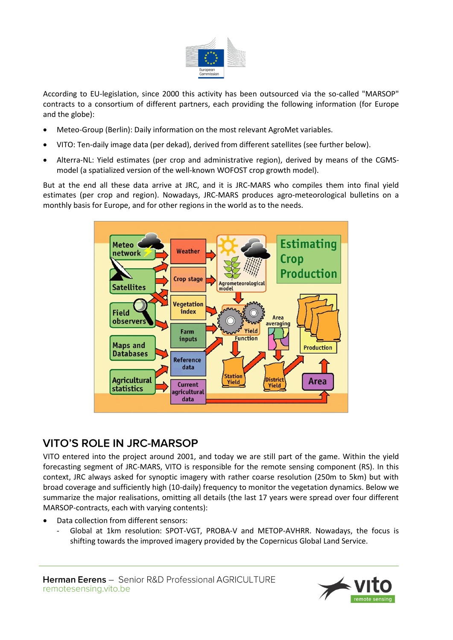

According to EU-legislation, since 2000 this activity has been outsourced via the so-called "MARSOP" contracts to a consortium of different partners, each providing the following information (for Europe and the globe):

- Meteo-Group (Berlin): Daily information on the most relevant AgroMet variables.
- VITO: Ten-daily image data (per dekad), derived from different satellites (see further below).
- Alterra-NL: Yield estimates (per crop and administrative region), derived by means of the CGMSmodel (a spatialized version of the well-known WOFOST crop growth model).

But at the end all these data arrive at JRC, and it is JRC-MARS who compiles them into final yield estimates (per crop and region). Nowadays, JRC-MARS produces agro-meteorological bulletins on a monthly basis for Europe, and for other regions in the world as to the needs.



# **VITO'S ROLE IN JRC-MARSOP**

VITO entered into the project around 2001, and today we are still part of the game. Within the yield forecasting segment of JRC-MARS, VITO is responsible for the remote sensing component (RS). In this context, JRC always asked for synoptic imagery with rather coarse resolution (250m to 5km) but with broad coverage and sufficiently high (10-daily) frequency to monitor the vegetation dynamics. Below we summarize the major realisations, omitting all details (the last 17 years were spread over four different MARSOP-contracts, each with varying contents):

- Data collection from different sensors:
	- Global at 1km resolution: SPOT-VGT, PROBA-V and METOP-AVHRR. Nowadays, the focus is shifting towards the improved imagery provided by the Copernicus Global Land Service.

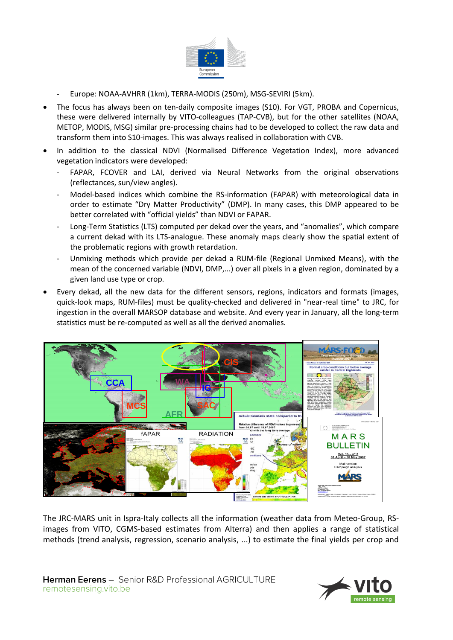

- Europe: NOAA-AVHRR (1km), TERRA-MODIS (250m), MSG-SEVIRI (5km).
- The focus has always been on ten-daily composite images (S10). For VGT, PROBA and Copernicus, these were delivered internally by VITO-colleagues (TAP-CVB), but for the other satellites (NOAA, METOP, MODIS, MSG) similar pre-processing chains had to be developed to collect the raw data and transform them into S10-images. This was always realised in collaboration with CVB.
- In addition to the classical NDVI (Normalised Difference Vegetation Index), more advanced vegetation indicators were developed:
	- FAPAR, FCOVER and LAI, derived via Neural Networks from the original observations (reflectances, sun/view angles).
	- Model-based indices which combine the RS-information (FAPAR) with meteorological data in order to estimate "Dry Matter Productivity" (DMP). In many cases, this DMP appeared to be better correlated with "official yields" than NDVI or FAPAR.
	- Long-Term Statistics (LTS) computed per dekad over the years, and "anomalies", which compare a current dekad with its LTS-analogue. These anomaly maps clearly show the spatial extent of the problematic regions with growth retardation.
	- Unmixing methods which provide per dekad a RUM-file (Regional Unmixed Means), with the mean of the concerned variable (NDVI, DMP,...) over all pixels in a given region, dominated by a given land use type or crop.
- Every dekad, all the new data for the different sensors, regions, indicators and formats (images, quick-look maps, RUM-files) must be quality-checked and delivered in "near-real time" to JRC, for ingestion in the overall MARSOP database and website. And every year in January, all the long-term statistics must be re-computed as well as all the derived anomalies.



The JRC-MARS unit in Ispra-Italy collects all the information (weather data from Meteo-Group, RSimages from VITO, CGMS-based estimates from Alterra) and then applies a range of statistical methods (trend analysis, regression, scenario analysis, ...) to estimate the final yields per crop and

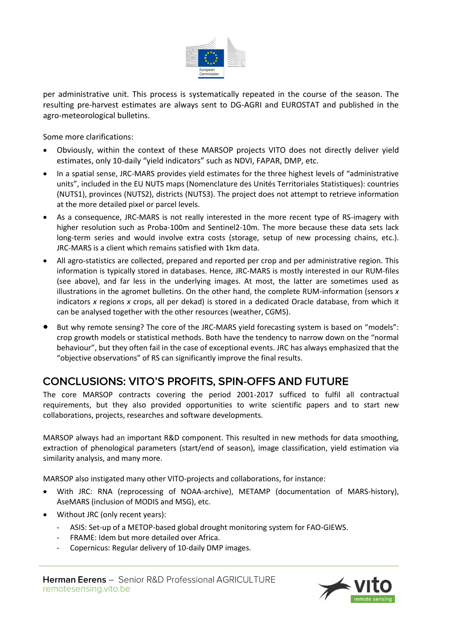

per administrative unit. This process is systematically repeated in the course of the season. The resulting pre-harvest estimates are always sent to DG-AGRI and EUROSTAT and published in the agro-meteorological bulletins.

Some more clarifications:

- Obviously, within the context of these MARSOP projects VITO does not directly deliver yield estimates, only 10-daily "yield indicators" such as NDVI, FAPAR, DMP, etc.
- In a spatial sense, JRC-MARS provides yield estimates for the three highest levels of "administrative units", included in the EU NUTS maps (Nomenclature des Unités Territoriales Statistiques): countries (NUTS1), provinces (NUTS2), districts (NUTS3). The project does not attempt to retrieve information at the more detailed pixel or parcel levels.
- As a consequence, JRC-MARS is not really interested in the more recent type of RS-imagery with higher resolution such as Proba-100m and Sentinel2-10m. The more because these data sets lack long-term series and would involve extra costs (storage, setup of new processing chains, etc.). JRC-MARS is a client which remains satisfied with 1km data.
- All agro-statistics are collected, prepared and reported per crop and per administrative region. This information is typically stored in databases. Hence, JRC-MARS is mostly interested in our RUM-files (see above), and far less in the underlying images. At most, the latter are sometimes used as illustrations in the agromet bulletins. On the other hand, the complete RUM-information (sensors *x* indicators *x* regions *x* crops, all per dekad) is stored in a dedicated Oracle database, from which it can be analysed together with the other resources (weather, CGMS).
- But why remote sensing? The core of the JRC-MARS yield forecasting system is based on "models": crop growth models or statistical methods. Both have the tendency to narrow down on the "normal behaviour", but they often fail in the case of exceptional events. JRC has always emphasized that the "objective observations" of RS can significantly improve the final results.

# **CONCLUSIONS: VITO'S PROFITS, SPIN-OFFS AND FUTURE**

The core MARSOP contracts covering the period 2001-2017 sufficed to fulfil all contractual requirements, but they also provided opportunities to write scientific papers and to start new collaborations, projects, researches and software developments.

MARSOP always had an important R&D component. This resulted in new methods for data smoothing, extraction of phenological parameters (start/end of season), image classification, yield estimation via similarity analysis, and many more.

MARSOP also instigated many other VITO-projects and collaborations, for instance:

- With JRC: RNA (reprocessing of NOAA-archive), METAMP (documentation of MARS-history), AseMARS (inclusion of MODIS and MSG), etc.
- Without JRC (only recent years):
	- ASIS: Set-up of a METOP-based global drought monitoring system for FAO-GIEWS.
	- FRAME: Idem but more detailed over Africa.
	- Copernicus: Regular delivery of 10-daily DMP images.